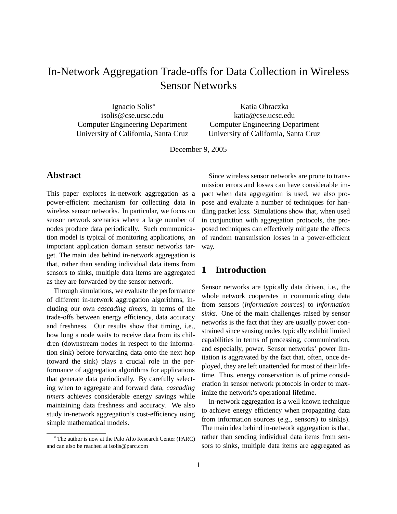# In-Network Aggregation Trade-offs for Data Collection in Wireless Sensor Networks

Ignacio Solis isolis@cse.ucsc.edu Computer Engineering Department University of California, Santa Cruz

Katia Obraczka katia@cse.ucsc.edu Computer Engineering Department University of California, Santa Cruz

December 9, 2005

### **Abstract**

This paper explores in-network aggregation as a power-efficient mechanism for collecting data in wireless sensor networks. In particular, we focus on sensor network scenarios where a large number of nodes produce data periodically. Such communication model is typical of monitoring applications, an important application domain sensor networks target. The main idea behind in-network aggregation is that, rather than sending individual data items from sensors to sinks, multiple data items are aggregated as they are forwarded by the sensor network.

Through simulations, we evaluate the performance of different in-network aggregation algorithms, including our own *cascading timers*, in terms of the trade-offs between energy efficiency, data accuracy and freshness. Our results show that timing, i.e., how long a node waits to receive data from its children (downstream nodes in respect to the information sink) before forwarding data onto the next hop (toward the sink) plays a crucial role in the performance of aggregation algorithms for applications that generate data periodically. By carefully selecting when to aggregate and forward data, *cascading timers* achieves considerable energy savings while maintaining data freshness and accuracy. We also study in-network aggregation's cost-efficiency using simple mathematical models.

Since wireless sensor networks are prone to transmission errors and losses can have considerable impact when data aggregation is used, we also propose and evaluate a number of techniques for handling packet loss. Simulations show that, when used in conjunction with aggregation protocols, the proposed techniques can effectively mitigate the effects of random transmission losses in a power-efficient way.

### **1 Introduction**

Sensor networks are typically data driven, i.e., the whole network cooperates in communicating data from sensors (*information sources*) to *information sinks*. One of the main challenges raised by sensor networks is the fact that they are usually power constrained since sensing nodes typically exhibit limited capabilities in terms of processing, communication, and especially, power. Sensor networks' power limitation is aggravated by the fact that, often, once deployed, they are left unattended for most of their lifetime. Thus, energy conservation is of prime consideration in sensor network protocols in order to maximize the network's operational lifetime.

In-network aggregation is a well known technique to achieve energy efficiency when propagating data from information sources (e.g., sensors) to sink(s). The main idea behind in-network aggregation is that, rather than sending individual data items from sensors to sinks, multiple data items are aggregated as

The author is now at the Palo Alto Research Center (PARC) and can also be reached at isolis@parc.com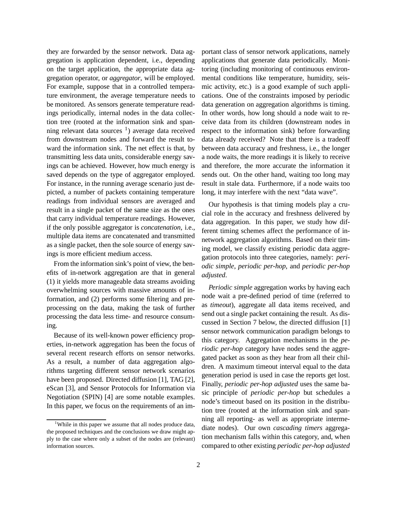they are forwarded by the sensor network. Data aggregation is application dependent, i.e., depending on the target application, the appropriate data aggregation operator, or *aggregator*, will be employed. For example, suppose that in a controlled temperature environment, the average temperature needs to be monitored. As sensors generate temperature readings periodically, internal nodes in the data collection tree (rooted at the information sink and spanning relevant data sources  $\frac{1}{1}$  average data received from downstream nodes and forward the result toward the information sink. The net effect is that, by transmitting less data units, considerable energy savings can be achieved. However, how much energy is saved depends on the type of aggregator employed. For instance, in the running average scenario just depicted, a number of packets containing temperature readings from individual sensors are averaged and result in a single packet of the same size as the ones that carry individual temperature readings. However, if the only possible aggregator is *concatenation*, i.e., multiple data items are concatenated and transmitted as a single packet, then the sole source of energy savings is more efficient medium access.

From the information sink's point of view, the benefits of in-network aggregation are that in general (1) it yields more manageable data streams avoiding overwhelming sources with massive amounts of information, and (2) performs some filtering and preprocessing on the data, making the task of further processing the data less time- and resource consuming.

Because of its well-known power efficiency properties, in-network aggregation has been the focus of several recent research efforts on sensor networks. As a result, a number of data aggregation algorithms targeting different sensor network scenarios have been proposed. Directed diffusion [1], TAG [2], eScan [3], and Sensor Protocols for Information via Negotiation (SPIN) [4] are some notable examples. In this paper, we focus on the requirements of an important class of sensor network applications, namely applications that generate data periodically. Monitoring (including monitoring of continuous environmental conditions like temperature, humidity, seismic activity, etc.) is a good example of such applications. One of the constraints imposed by periodic data generation on aggregation algorithms is timing. In other words, how long should a node wait to receive data from its children (downstream nodes in respect to the information sink) before forwarding data already received? Note that there is a tradeoff between data accuracy and freshness, i.e., the longer a node waits, the more readings it is likely to receive and therefore, the more accurate the information it sends out. On the other hand, waiting too long may result in stale data. Furthermore, if a node waits too long, it may interfere with the next "data wave".

Our hypothesis is that timing models play a crucial role in the accuracy and freshness delivered by data aggregation. In this paper, we study how different timing schemes affect the performance of innetwork aggregation algorithms. Based on their timing model, we classify existing periodic data aggregation protocols into three categories, namely: *periodic simple*, *periodic per-hop*, and *periodic per-hop adjusted*.

*Periodic simple* aggregation works by having each node wait a pre-defined period of time (referred to as *timeout*), aggregate all data items received, and send out a single packet containing the result. As discussed in Section 7 below, the directed diffusion [1] sensor network communication paradigm belongs to this category. Aggregation mechanisms in the *periodic per-hop* category have nodes send the aggregated packet as soon as they hear from all their children. A maximum timeout interval equal to the data generation period is used in case the reports get lost. Finally, *periodic per-hop adjusted* uses the same basic principle of *periodic per-hop* but schedules a node's timeout based on its position in the distribution tree (rooted at the information sink and spanning all reporting- as well as appropriate intermediate nodes). Our own *cascading timers* aggregation mechanism falls within this category, and, when compared to other existing *periodic per-hop adjusted*

<sup>&</sup>lt;sup>1</sup>While in this paper we assume that all nodes produce data, the proposed techniques and the conclusions we draw might apply to the case where only a subset of the nodes are (relevant) information sources.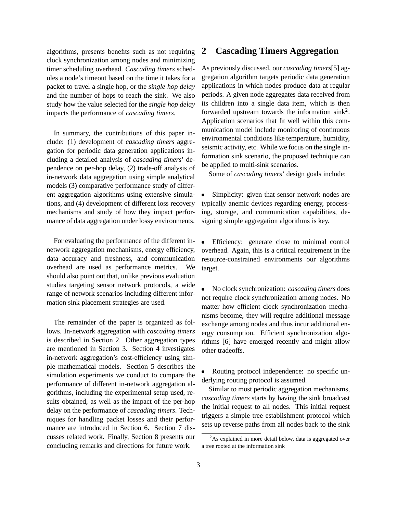algorithms, presents benefits such as not requiring clock synchronization among nodes and minimizing timer scheduling overhead. *Cascading timers* schedules a node's timeout based on the time it takes for a packet to travel a single hop, or the *single hop delay* and the number of hops to reach the sink. We also study how the value selected for the *single hop delay* impacts the performance of *cascading timers*.

In summary, the contributions of this paper include: (1) development of *cascading timers* aggregation for periodic data generation applications including a detailed analysis of *cascading timers*' dependence on per-hop delay, (2) trade-off analysis of in-network data aggregation using simple analytical models (3) comparative performance study of different aggregation algorithms using extensive simulations, and (4) development of different loss recovery mechanisms and study of how they impact performance of data aggregation under lossy environments.

For evaluating the performance of the different innetwork aggregation mechanisms, energy efficiency, data accuracy and freshness, and communication overhead are used as performance metrics. We should also point out that, unlike previous evaluation studies targeting sensor network protocols, a wide range of network scenarios including different information sink placement strategies are used.

The remainder of the paper is organized as follows. In-network aggregation with *cascading timers* is described in Section 2. Other aggregation types are mentioned in Section 3. Section 4 investigates in-network aggregation's cost-efficiency using simple mathematical models. Section 5 describes the simulation experiments we conduct to compare the performance of different in-network aggregation algorithms, including the experimental setup used, results obtained, as well as the impact of the per-hop delay on the performance of *cascading timers*. Techniques for handling packet losses and their performance are introduced in Section 6. Section 7 discusses related work. Finally, Section 8 presents our concluding remarks and directions for future work.

### **2 Cascading Timers Aggregation**

As previously discussed, our *cascading timers*[5] aggregation algorithm targets periodic data generation applications in which nodes produce data at regular periods. A given node aggregates data received from its children into a single data item, which is then forwarded upstream towards the information sink<sup>2</sup>. Application scenarios that fit well within this communication model include monitoring of continuous environmental conditions like temperature, humidity, seismic activity, etc. While we focus on the single information sink scenario, the proposed technique can be applied to multi-sink scenarios.

Some of *cascading timers*' design goals include:

 Simplicity: given that sensor network nodes are typically anemic devices regarding energy, processing, storage, and communication capabilities, designing simple aggregation algorithms is key.

 Efficiency: generate close to minimal control overhead. Again, this is a critical requirement in the resource-constrained environments our algorithms target.

 No clock synchronization: *cascading timers* does not require clock synchronization among nodes. No matter how efficient clock synchronization mechanisms become, they will require additional message exchange among nodes and thus incur additional energy consumption. Efficient synchronization algorithms [6] have emerged recently and might allow other tradeoffs.

 Routing protocol independence: no specific underlying routing protocol is assumed.

Similar to most periodic aggregation mechanisms, *cascading timers* starts by having the sink broadcast the initial request to all nodes. This initial request triggers a simple tree establishment protocol which sets up reverse paths from all nodes back to the sink

 $2$ As explained in more detail below, data is aggregated over a tree rooted at the information sink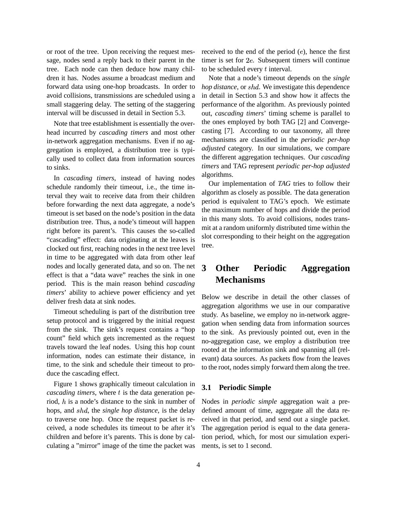or root of the tree. Upon receiving the request message, nodes send a reply back to their parent in the tree. Each node can then deduce how many children it has. Nodes assume a broadcast medium and forward data using one-hop broadcasts. In order to avoid collisions, transmissions are scheduled using a small staggering delay. The setting of the staggering interval will be discussed in detail in Section 5.3.

Note that tree establishment is essentially the overhead incurred by *cascading timers* and most other in-network aggregation mechanisms. Even if no aggregation is employed, a distribution tree is typically used to collect data from information sources to sinks.

In *cascading timers*, instead of having nodes schedule randomly their timeout, i.e., the time interval they wait to receive data from their children before forwarding the next data aggregate, a node's timeout is set based on the node's position in the data distribution tree. Thus, a node's timeout will happen right before its parent's. This causes the so-called "cascading" effect: data originating at the leaves is clocked out first, reaching nodes in the next tree level in time to be aggregated with data from other leaf nodes and locally generated data, and so on. The net effect is that a "data wave" reaches the sink in one period. This is the main reason behind *cascading timers*' ability to achieve power efficiency and yet deliver fresh data at sink nodes.

Timeout scheduling is part of the distribution tree setup protocol and is triggered by the initial request from the sink. The sink's request contains a "hop count" field which gets incremented as the request travels toward the leaf nodes. Using this hop count information, nodes can estimate their distance, in time, to the sink and schedule their timeout to produce the cascading effect.

Figure 1 shows graphically timeout calculation in *cascading timers*, where  $t$  is the data generation period,  $h$  is a node's distance to the sink in number of hops, and shd, the *single hop distance*, is the delay to traverse one hop. Once the request packet is received, a node schedules its timeout to be after it's children and before it's parents. This is done by calculating a "mirror" image of the time the packet was received to the end of the period  $(e)$ , hence the first timer is set for  $2e$ . Subsequent timers will continue to be scheduled every  $t$  interval.

Note that a node's timeout depends on the *single* hop distance, or shd. We investigate this dependence in detail in Section 5.3 and show how it affects the performance of the algorithm. As previously pointed out, *cascading timers*' timing scheme is parallel to the ones employed by both TAG [2] and Convergecasting [7]. According to our taxonomy, all three mechanisms are classified in the *periodic per-hop adjusted* category. In our simulations, we compare the different aggregation techniques. Our *cascading timers* and TAG represent *periodic per-hop adjusted* algorithms.

Our implementation of *TAG* tries to follow their algorithm as closely as possible. The data generation period is equivalent to TAG's epoch. We estimate the maximum number of hops and divide the period in this many slots. To avoid collisions, nodes transmit at a random uniformly distributed time within the slot corresponding to their height on the aggregation tree.

## **3 Other Periodic Aggregation Mechanisms**

Below we describe in detail the other classes of aggregation algorithms we use in our comparative study. As baseline, we employ no in-network aggregation when sending data from information sources to the sink. As previously pointed out, even in the no-aggregation case, we employ a distribution tree rooted at the information sink and spanning all (relevant) data sources. As packets flow from the leaves to the root, nodes simply forward them along the tree.

#### **3.1 Periodic Simple**

Nodes in *periodic simple* aggregation wait a predefined amount of time, aggregate all the data received in that period, and send out a single packet. The aggregation period is equal to the data generation period, which, for most our simulation experiments, is set to 1 second.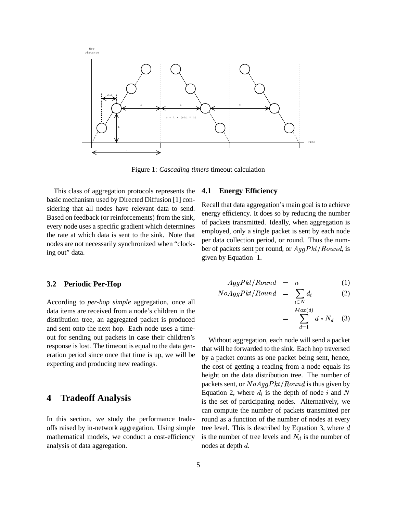

Figure 1: *Cascading timers* timeout calculation

This class of aggregation protocols represents the basic mechanism used by Directed Diffusion [1] considering that all nodes have relevant data to send. Based on feedback (or reinforcements) from the sink, every node uses a specific gradient which determines the rate at which data is sent to the sink. Note that nodes are not necessarily synchronized when "clocking out" data.

#### **4.1 Energy Efficiency**

Recall that data aggregation's main goal is to achieve energy efficiency. It does so by reducing the number of packets transmitted. Ideally, when aggregation is employed, only a single packet is sent by each node per data collection period, or round. Thus the number of packets sent per round, or  $AggPkt/Round$ , is given by Equation 1.

#### **3.2 Periodic Per-Hop**

According to *per-hop simple* aggregation, once all data items are received from a node's children in the distribution tree, an aggregated packet is produced and sent onto the next hop. Each node uses a timeout for sending out packets in case their children's response is lost. The timeout is equal to the data generation period since once that time is up, we will be expecting and producing new readings.

### **4 Tradeoff Analysis**

In this section, we study the performance tradeoffs raised by in-network aggregation. Using simple mathematical models, we conduct a cost-efficiency analysis of data aggregation.

$$
AggPkt/Round = n \tag{1}
$$

$$
NoAggPkt/Round = \sum_{i \in N} d_i \tag{2}
$$

$$
= \sum_{d=1}^{Max(d)} d*N_d \quad (3)
$$

Without aggregation, each node will send a packet that will be forwarded to the sink. Each hop traversed by a packet counts as one packet being sent, hence, the cost of getting a reading from a node equals its height on the data distribution tree. The number of packets sent, or  $NoAggPkt/Round$  is thus given by Equation 2, where  $d_i$  is the depth of node i and N is the set of participating nodes. Alternatively, we can compute the number of packets transmitted per round as a function of the number of nodes at every tree level. This is described by Equation 3, where  $d$ is the number of tree levels and  $N_d$  is the number of nodes at depth  $d$ .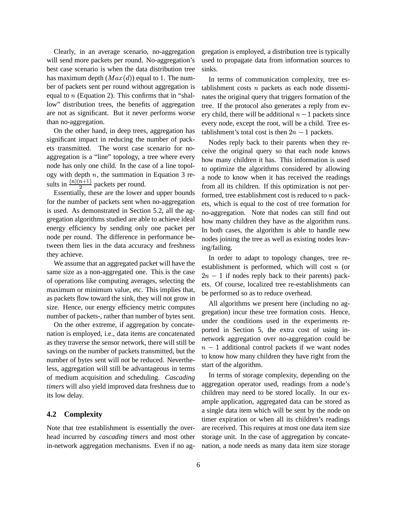Clearly, in an average scenario, no-aggregation will send more packets per round. No-aggregation's best case scenario is when the data distribution tree has maximum depth  $(Max(d))$  equal to 1. The number of packets sent per round without aggregation is equal to  $n$  (Equation 2). This confirms that in "shallow" distribution trees, the benefits of aggregation are not as significant. But it never performs worse than no-aggregation.

On the other hand, in deep trees, aggregation has significant impact in reducing the number of packets transmitted. The worst case scenario for noaggregation is a "line" topology, a tree where every node has only one child. In the case of a line topology with depth  $n$ , the summation in Equation 3 results in  $\frac{(n)(n+1)}{2}$  packets per round.

Essentially, these are the lower and upper bounds for the number of packets sent when no-aggregation is used. As demonstrated in Section 5.2, all the aggregation algorithms studied are able to achieve ideal energy efficiency by sending only one packet per node per round. The difference in performance between them lies in the data accuracy and freshness they achieve.

We assume that an aggregated packet will have the same size as a non-aggregated one. This is the case of operations like computing averages, selecting the maximum or minimum value, etc. This implies that, as packets flow toward the sink, they will not grow in size. Hence, our energy efficiency metric computes number of packets-, rather than number of bytes sent.

On the other extreme, if aggregation by concatenation is employed, i.e., data items are concatenated as they traverse the sensor network, there will still be savings on the number of packets transmitted, but the number of bytes sent will not be reduced. Nevertheless, aggregation will still be advantageous in terms of medium acquisition and scheduling. *Cascading timers* will also yield improved data freshness due to its low delay.

#### **4.2 Complexity**

Note that tree establishment is essentially the overhead incurred by *cascading timers* and most other in-network aggregation mechanisms. Even if no ag-

gregation is employed, a distribution tree is typically used to propagate data from information sources to sinks.

In terms of communication complexity, tree establishment costs  $n$  packets as each node disseminates the original query that triggers formation of the tree. If the protocol also generates a reply from every child, there will be additional  $n-1$  packets since every node, except the root, will be a child. Tree establishment's total cost is then  $2n - 1$  packets.

Nodes reply back to their parents when they receive the original query so that each node knows how many children it has. This information is used to optimize the algorithms considered by allowing a node to know when it has received the readings from all its children. If this optimization is not performed, tree establishment cost is reduced to  $n$  packets, which is equal to the cost of tree formation for no-aggregation. Note that nodes can still find out how many children they have as the algorithm runs. In both cases, the algorithm is able to handle new nodes joining the tree as well as existing nodes leaving/failing.

In order to adapt to topology changes, tree reestablishment is performed, which will cost  $n$  (or  $2n - 1$  if nodes reply back to their parents) packets. Of course, localized tree re-establishments can be performed so as to reduce overhead.

All algorithms we present here (including no aggregation) incur these tree formation costs. Hence, under the conditions used in the experiments reported in Section 5, the extra cost of using innetwork aggregation over no-aggregation could be  $n-1$  additional control packets if we want nodes to know how many children they have right from the start of the algorithm.

In terms of storage complexity, depending on the aggregation operator used, readings from a node's children may need to be stored locally. In our example application, aggregated data can be stored as a single data item which will be sent by the node on timer expiration or when all its children's readings are received. This requires at most one data item size storage unit. In the case of aggregation by concatenation, a node needs as many data item size storage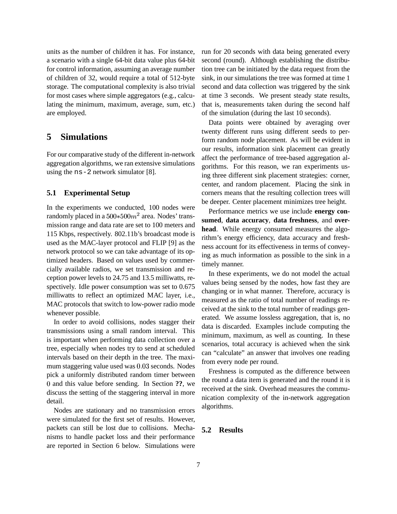units as the number of children it has. For instance, a scenario with a single 64-bit data value plus 64-bit for control information, assuming an average number of children of 32, would require a total of 512-byte storage. The computational complexity is also trivial for most cases where simple aggregators (e.g., calculating the minimum, maximum, average, sum, etc.) are employed.

### **5 Simulations**

For our comparative study of the different in-network aggregation algorithms, we ran extensive simulations using the ns-2 network simulator [8].

#### **5.1 Experimental Setup**

In the experiments we conducted, 100 nodes were randomly placed in a  $500*500m^2$  area. Nodes' tr <sup>2</sup> area. Nodes' transmission range and data rate are set to 100 meters and 115 Kbps, respectively. 802.11b's broadcast mode is used as the MAC-layer protocol and FLIP [9] as the network protocol so we can take advantage of its optimized headers. Based on values used by commercially available radios, we set transmission and reception power levels to 24.75 and 13.5 milliwatts, respectively. Idle power consumption was set to 0.675 milliwatts to reflect an optimized MAC layer, i.e., MAC protocols that switch to low-power radio mode whenever possible.

In order to avoid collisions, nodes stagger their transmissions using a small random interval. This is important when performing data collection over a tree, especially when nodes try to send at scheduled intervals based on their depth in the tree. The maximum staggering value used was  $0.03$  seconds. Nodes pick a uniformly distributed random timer between and this value before sending. In Section **??**, we discuss the setting of the staggering interval in more detail.

Nodes are stationary and no transmission errors were simulated for the first set of results. However, packets can still be lost due to collisions. Mechanisms to handle packet loss and their performance are reported in Section 6 below. Simulations were run for 20 seconds with data being generated every second (round). Although establishing the distribution tree can be initiated by the data request from the sink, in our simulations the tree was formed at time 1 second and data collection was triggered by the sink at time 3 seconds. We present steady state results, that is, measurements taken during the second half of the simulation (during the last 10 seconds).

Data points were obtained by averaging over twenty different runs using different seeds to perform random node placement. As will be evident in our results, information sink placement can greatly affect the performance of tree-based aggregation algorithms. For this reason, we ran experiments using three different sink placement strategies: corner, center, and random placement. Placing the sink in corners means that the resulting collection trees will be deeper. Center placement minimizes tree height.

Performance metrics we use include **energy consumed**, **data accuracy**, **data freshness**, and **overhead**. While energy consumed measures the algorithm's energy efficiency, data accuracy and freshness account for its effectiveness in terms of conveying as much information as possible to the sink in a timely manner.

In these experiments, we do not model the actual values being sensed by the nodes, how fast they are changing or in what manner. Therefore, accuracy is measured as the ratio of total number of readings received at the sink to the total number of readings generated. We assume lossless aggregation, that is, no data is discarded. Examples include computing the minimum, maximum, as well as counting. In these scenarios, total accuracy is achieved when the sink can "calculate" an answer that involves one reading from every node per round.

Freshness is computed as the difference between the round a data item is generated and the round it is received at the sink. Overhead measures the communication complexity of the in-network aggregation algorithms.

#### **5.2 Results**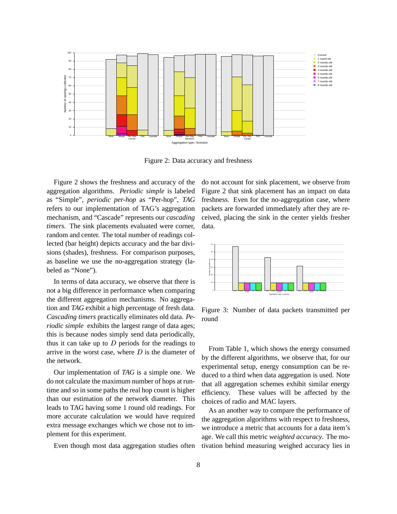

Figure 2: Data accuracy and freshness

Figure 2 shows the freshness and accuracy of the aggregation algorithms. *Periodic simple* is labeled as "Simple", *periodic per-hop* as "Per-hop", *TAG* refers to our implementation of TAG's aggregation mechanism, and "Cascade" represents our *cascading timers*. The sink placements evaluated were corner, random and center. The total number of readings collected (bar height) depicts accuracy and the bar divisions (shades), freshness. For comparison purposes, as baseline we use the no-aggregation strategy (labeled as "None").

In terms of data accuracy, we observe that there is not a big difference in performance when comparing the different aggregation mechanisms. No aggregation and *TAG* exhibit a high percentage of fresh data. *Cascading timers* practically eliminates old data. *Periodic simple* exhibits the largest range of data ages; this is because nodes simply send data periodically, thus it can take up to  $D$  periods for the readings to arrive in the worst case, where  $D$  is the diameter of the network.

Our implementation of *TAG* is a simple one. We do not calculate the maximum number of hops at runtime and so in some paths the real hop count is higher than our estimation of the network diameter. This leads to TAG having some 1 round old readings. For more accurate calculation we would have required extra message exchanges which we chose not to implement for this experiment.

Even though most data aggregation studies often

do not account for sink placement, we observe from Figure 2 that sink placement has an impact on data freshness. Even for the no-aggregation case, where packets are forwarded immediately after they are received, placing the sink in the center yields fresher data.



Figure 3: Number of data packets transmitted per round

From Table 1, which shows the energy consumed by the different algorithms, we observe that, for our experimental setup, energy consumption can be reduced to a third when data aggregation is used. Note that all aggregation schemes exhibit similar energy efficiency. These values will be affected by the choices of radio and MAC layers.

As an another way to compare the performance of the aggregation algorithms with respect to freshness, we introduce a metric that accounts for a data item's age. We call this metric *weighted accuracy*. The motivation behind measuring weighed accuracy lies in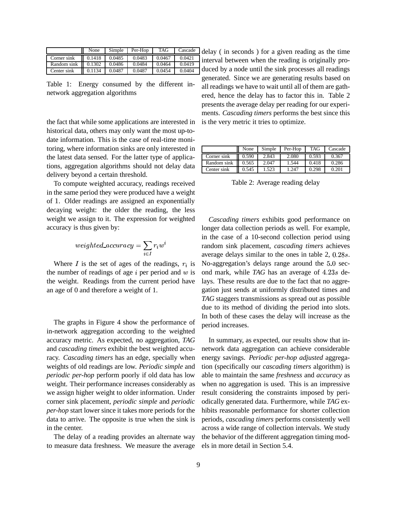|                                | None               | Simple | Per-Hop | <b>TAG</b> | Cascade |
|--------------------------------|--------------------|--------|---------|------------|---------|
| Corner sink                    | $\parallel$ 0.1418 | 0.0485 | 0.0483  | 0.0467     | 0.0421  |
| Random sink $\parallel$ 0.1302 |                    | 0.0486 | 0.0484  | 0.0464     | 0.0419  |
| Center sink                    | $\parallel$ 0.1134 | 0.0487 | 0.0487  | 0.0454     | 0.0404  |

Table 1: Energy consumed by the different innetwork aggregation algorithms

the fact that while some applications are interested in historical data, others may only want the most up-todate information. This is the case of real-time monitoring, where information sinks are only interested in the latest data sensed. For the latter type of applications, aggregation algorithms should not delay data delivery beyond a certain threshold.

To compute weighted accuracy, readings received in the same period they were produced have a weight of 1. Older readings are assigned an exponentially decaying weight: the older the reading, the less weight we assign to it. The expression for weighted accuracy is thus given by:

$$
weighted\_accuracy = \sum_{i \in I} r_i w^i
$$

Where  $I$  is the set of ages of the readings,  $r_i$  is the number of readings of age  $i$  per period and  $w$  is ond mar the weight. Readings from the current period have an age of 0 and therefore a weight of 1.

The graphs in Figure 4 show the performance of in-network aggregation according to the weighted accuracy metric. As expected, no aggregation, *TAG* and *cascading timers* exhibit the best weighted accuracy. *Cascading timers* has an edge, specially when weights of old readings are low. *Periodic simple* and *periodic per-hop* perform poorly if old data has low weight. Their performance increases considerably as we assign higher weight to older information. Under corner sink placement, *periodic simple* and *periodic per-hop* start lower since it takes more periods for the data to arrive. The opposite is true when the sink is in the center.

The delay of a reading provides an alternate way to measure data freshness. We measure the average delay ( in seconds ) for a given reading as the time interval between when the reading is originally produced by a node until the sink processes all readings generated. Since we are generating results based on all readings we have to wait until all of them are gathered, hence the delay has to factor this in. Table 2 presents the average delay per reading for our experiments. *Cascading timers* performs the best since this is the very metric it tries to optimize.

|             | None  | Simple | Per-Hop | <b>TAG</b> | Cascade |
|-------------|-------|--------|---------|------------|---------|
| Corner sink | 0.590 | 2.843  | 2.080   | 0.593      | 0.367   |
| Random sink | 0.565 | 2.047  | 1.544   | 0.418      | 0.286   |
| Center sink | 0.545 | 1.523  | 1.247   | 0.298      | 0.201   |

Table 2: Average reading delay

 $acy = \sum r_i w^i$  random sink placement, *cascading timers* achieves No-aggregation's delays range around the 5.0 sec-*Cascading timers* exhibits good performance on longer data collection periods as well. For example, in the case of a 10-second collection period using average delays similar to the ones in table  $2$ ,  $0.28s$ . ond mark, while *TAG* has an average of  $4.23s$  delays. These results are due to the fact that no aggregation just sends at uniformly distributed times and *TAG* staggers transmissions as spread out as possible due to its method of dividing the period into slots. In both of these cases the delay will increase as the period increases.

> In summary, as expected, our results show that innetwork data aggregation can achieve considerable energy savings. *Periodic per-hop adjusted* aggregation (specifically our *cascading timers* algorithm) is able to maintain the same *freshness* and *accuracy* as when no aggregation is used. This is an impressive result considering the constraints imposed by periodically generated data. Furthermore, while *TAG* exhibits reasonable performance for shorter collection periods, *cascading timers* performs consistently well across a wide range of collection intervals. We study the behavior of the different aggregation timing models in more detail in Section 5.4.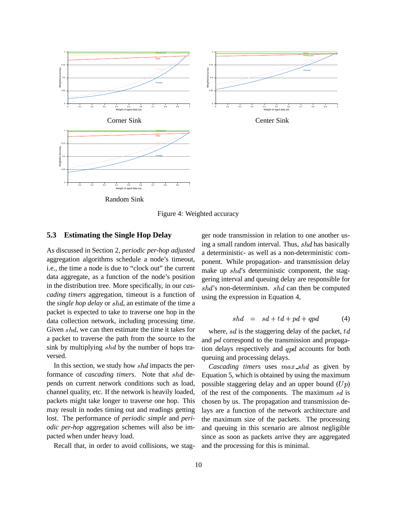

Figure 4: Weighted accuracy

#### **5.3 Estimating the Single Hop Delay**

As discussed in Section 2, *periodic per-hop adjusted* aggregation algorithms schedule a node's timeout, i.e., the time a node is due to "clock out" the current data aggregate, as a function of the node's position in the distribution tree. More specifically, in our *cascading timers* aggregation, timeout is a function of the *single hop delay* or shd, an estimate of the time a packet is expected to take to traverse one hop in the data collection network, including processing time. Given  $shd$ , we can then estimate the time it takes for a packet to traverse the path from the source to the sink by multiplying  $shd$  by the number of hops traversed.

In this section, we study how  $shd$  impacts the performance of *cascading timers*. Note that shd de- Equineer pends on current network conditions such as load, channel quality, etc. If the network is heavily loaded, packets might take longer to traverse one hop. This may result in nodes timing out and readings getting lost. The performance of *periodic simple* and *periodic per-hop* aggregation schemes will also be impacted when under heavy load.

Recall that, in order to avoid collisions, we stag-

ger node transmission in relation to one another using a small random interval. Thus,  $shd$  has basically a deterministic- as well as a non-deterministic component. While propagation- and transmission delay make up  $shd$ 's deterministic component, the staggering interval and queuing delay are responsible for  $shd$ 's non-determinism.  $shd$  can then be computed using the expression in Equation 4,

$$
shd = sd + td + pd + qpd \tag{4}
$$

where,  $sd$  is the staggering delay of the packet,  $td$ and  $pd$  correspond to the transmission and propagation delays respectively and qpd accounts for both queuing and processing delays.

Cascading timers uses max\_shd as given by Equation 5, which is obtained by using the maximum possible staggering delay and an upper bound  $(Up)$ of the rest of the components. The maximum  $sd$  is chosen by us. The propagation and transmission delays are a function of the network architecture and the maximum size of the packets. The processing and queuing in this scenario are almost negligible since as soon as packets arrive they are aggregated and the processing for this is minimal.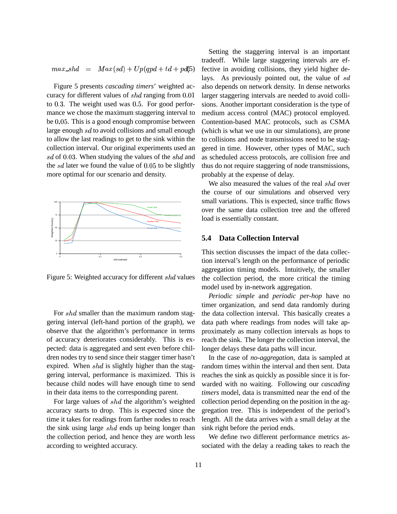$max\_shd = Max(sd) + Up(qpd + td + pd)$  fective

Figure 5 presents *cascading timers*' weighted accuracy for different values of  $shd$  ranging from  $0.01$  larger  $s$ to  $0.3$ . The weight used was  $0.5$ . For good performance we chose the maximum staggering interval to be  $0.05$ . This is a good enough compromise between large enough  $sd$  to avoid collisions and small enough to allow the last readings to get to the sink within the collection interval. Our original experiments used an sd of 0.03. When studying the values of the  $shd$  and as the  $sd$  later we found the value of  $0.05$  to be slightly more optimal for our scenario and density.



Figure 5: Weighted accuracy for different  $shd$  values  $\frac{1}{2}$ 

For shd smaller than the maximum random staggering interval (left-hand portion of the graph), we observe that the algorithm's performance in terms of accuracy deteriorates considerably. This is expected: data is aggregated and sent even before children nodes try to send since their stagger timer hasn't expired. When  $shd$  is slightly higher than the staggering interval, performance is maximized. This is because child nodes will have enough time to send in their data items to the corresponding parent.

For large values of  $shd$  the algorithm's weighted accuracy starts to drop. This is expected since the time it takes for readings from farther nodes to reach the sink using large  $shd$  ends up being longer than the collection period, and hence they are worth less according to weighted accuracy.

Setting the staggering interval is an important tradeoff. While large staggering intervals are effective in avoiding collisions, they yield higher delays. As previously pointed out, the value of  $sd$ also depends on network density. In dense networks larger staggering intervals are needed to avoid collisions. Another important consideration is the type of medium access control (MAC) protocol employed. Contention-based MAC protocols, such as CSMA (which is what we use in our simulations), are prone to collisions and node transmissions need to be staggered in time. However, other types of MAC, such as scheduled access protocols, are collision free and thus do not require staggering of node transmissions, probably at the expense of delay.

We also measured the values of the real  $shd$  over the course of our simulations and observed very small variations. This is expected, since traffic flows over the same data collection tree and the offered load is essentially constant.

#### **5.4 Data Collection Interval**

This section discusses the impact of the data collection interval's length on the performance of periodic aggregation timing models. Intuitively, the smaller the collection period, the more critical the timing model used by in-network aggregation.

*Periodic simple* and *periodic per-hop* have no timer organization, and send data randomly during the data collection interval. This basically creates a data path where readings from nodes will take approximately as many collection intervals as hops to reach the sink. The longer the collection interval, the longer delays these data paths will incur.

In the case of *no-aggregation*, data is sampled at random times within the interval and then sent. Data reaches the sink as quickly as possible since it is forwarded with no waiting. Following our *cascading timers* model, data is transmitted near the end of the collection period depending on the position in the aggregation tree. This is independent of the period's length. All the data arrives with a small delay at the sink right before the period ends.

We define two different performance metrics associated with the delay a reading takes to reach the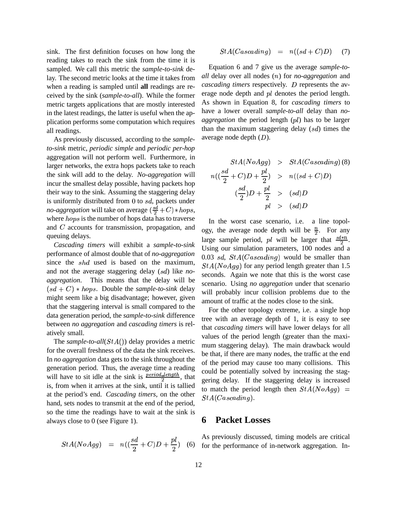sink. The first definition focuses on how long the reading takes to reach the sink from the time it is sampled. We call this metric the *sample-to-sink* delay. The second metric looks at the time it takes from when a reading is sampled until **all** readings are received by the sink (*sample-to-all*). While the former metric targets applications that are mostly interested in the latest readings, the latter is useful when the application performs some computation which requires all readings.

As previously discussed, according to the *sampleto-sink* metric, *periodic simple* and *periodic per-hop* aggregation will not perform well. Furthermore, in larger networks, the extra hops packets take to reach the sink will add to the delay. *No-aggregation* will incur the smallest delay possible, having packets hop their way to the sink. Assuming the staggering delay is uniformly distributed from  $0$  to  $sd$ , packets under *no-aggregation* will take on average  $(\frac{sd}{2} + C) * hops$ , where  $hops$  is the number of hops data has to traverse and  $C$  accounts for transmission, propagation, and queuing delays.

*Cascading timers* will exhibit a *sample-to-sink* performance of almost double that of *no-aggregation* since the  $shd$  used is based on the maximum, and not the average staggering delay (sd) like no*aggregation*. This means that the delay will be  $(sd + C) * hops$ . Double the *sample-to-sink* delay might seem like a big disadvantage; however, given that the staggering interval is small compared to the data generation period, the *sample-to-sink* difference between *no aggregation* and *cascading timers* is relatively small.

The *sample-to-all* $(StA() )$  delay provides a metric for the overall freshness of the data the sink receives. In *no aggregation* data gets to the sink throughout the generation period. Thus, the average time a reading will have to sit idle at the sink is  $\frac{period\text{-}length}{2}$ , that is, from when it arrives at the sink, until it is tallied at the period's end. *Cascading timers*, on the other hand, sets nodes to transmit at the end of the period, so the time the readings have to wait at the sink is always close to 0 (see Figure 1).

$$
StA(NoAgg) = n((\frac{sd}{2} + C)D + \frac{pl}{2})
$$
 (6)

$$
StA(Cascading) = n((sd+C)D) \quad (7)
$$

Equation 6 and 7 give us the average *sample-toall* delay over all nodes ( ) for *no-aggregation* and *cascading timers* respectively. *D* represents the average node depth and *pl* denotes the period length. As shown in Equation 8, for *cascading timers* to have a lower overall *sample-to-all* delay than *noaggregation* the period length (*pl*) has to be larger than the maximum staggering delay  $(sd)$  times the average node depth  $(D)$ .

$$
StA(NoAgg) > StA(Cascading)(8)
$$
  

$$
n((\frac{sd}{2} + C)D + \frac{pl}{2}) > n((sd + C)D)
$$
  

$$
(\frac{sd}{2})D + \frac{pl}{2} > (sd)D
$$
  

$$
pl > (sd)D
$$

In the worst case scenario, i.e. a line topology, the average node depth will be  $\frac{n}{2}$ . For any large sample period, pl will be larger that  $\frac{sd*n}{2}$ . Using our simulation parameters, 100 nodes and a 0.03 sd,  $StA(Cascaling)$  would be smaller than  $StA(NoAgg)$  for any period length greater than 1.5 seconds. Again we note that this is the worst case scenario. Using *no aggregation* under that scenario will probably incur collision problems due to the amount of traffic at the nodes close to the sink.

 could be potentially solved by increasing the stag-For the other topology extreme, i.e. a single hop tree with an average depth of 1, it is easy to see that *cascading timers* will have lower delays for all values of the period length (greater than the maximum staggering delay). The main drawback would be that, if there are many nodes, the traffic at the end of the period may cause too many collisions. This gering delay. If the staggering delay is increased to match the period length then  $StA(NoAgg)$  =  $StA(Cascaling).$ 

### **6 Packet Losses**

 $(D + \frac{1}{2})$  (6) for the performance of in-network aggregation. In-As previously discussed, timing models are critical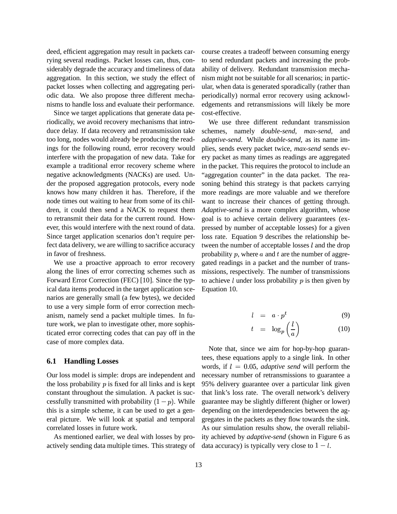deed, efficient aggregation may result in packets carrying several readings. Packet losses can, thus, considerably degrade the accuracy and timeliness of data aggregation. In this section, we study the effect of packet losses when collecting and aggregating periodic data. We also propose three different mechanisms to handle loss and evaluate their performance.

Since we target applications that generate data periodically, we avoid recovery mechanisms that introduce delay. If data recovery and retransmission take too long, nodes would already be producing the readings for the following round, error recovery would interfere with the propagation of new data. Take for example a traditional error recovery scheme where negative acknowledgments (NACKs) are used. Under the proposed aggregation protocols, every node knows how many children it has. Therefore, if the node times out waiting to hear from some of its children, it could then send a NACK to request them to retransmit their data for the current round. However, this would interfere with the next round of data. Since target application scenarios don't require perfect data delivery, we are willing to sacrifice accuracy in favor of freshness.

We use a proactive approach to error recovery along the lines of error correcting schemes such as Forward Error Correction (FEC) [10]. Since the typical data items produced in the target application scenarios are generally small (a few bytes), we decided to use a very simple form of error correction mechanism, namely send a packet multiple times. In future work, we plan to investigate other, more sophisticated error correcting codes that can pay off in the case of more complex data.

#### **6.1 Handling Losses**

Our loss model is simple: drops are independent and the loss probability  $p$  is fixed for all links and is kept constant throughout the simulation. A packet is successfully transmitted with probability  $(1-p)$ . While gu this is a simple scheme, it can be used to get a general picture. We will look at spatial and temporal correlated losses in future work.

As mentioned earlier, we deal with losses by proactively sending data multiple times. This strategy of course creates a tradeoff between consuming energy to send redundant packets and increasing the probability of delivery. Redundant transmission mechanism might not be suitable for all scenarios; in particular, when data is generated sporadically (rather than periodically) normal error recovery using acknowledgements and retransmissions will likely be more cost-effective.

We use three different redundant transmission schemes, namely *double-send*, *max-send*, and *adaptive-send*. While *double-send*, as its name implies, sends every packet twice, *max-send* sends every packet as many times as readings are aggregated in the packet. This requires the protocol to include an "aggregation counter" in the data packet. The reasoning behind this strategy is that packets carrying more readings are more valuable and we therefore want to increase their chances of getting through. *Adaptive-send* is a more complex algorithm, whose goal is to achieve certain delivery guarantees (expressed by number of acceptable losses) for a given loss rate. Equation 9 describes the relationship between the number of acceptable losses  $l$  and the drop probability  $p$ , where  $a$  and  $t$  are the number of aggregated readings in a packet and the number of transmissions, respectively. The number of transmissions to achieve  $l$  under loss probability  $p$  is then given by Equation 10.

$$
l = a \cdot p^t \tag{9}
$$

$$
t = \log_p\left(\frac{l}{a}\right) \tag{10}
$$

Note that, since we aim for hop-by-hop guarantees, these equations apply to a single link. In other words, if  $l = 0.05$ , *adaptive send* will perform the necessary number of retransmissions to guarantee a 95% delivery guarantee over a particular link given that link's loss rate. The overall network's delivery guarantee may be slightly different (higher or lower) depending on the interdependencies between the aggregates in the packets as they flow towards the sink. As our simulation results show, the overall reliability achieved by *adaptive-send* (shown in Figure 6 as data accuracy) is typically very close to  $1 - l$ .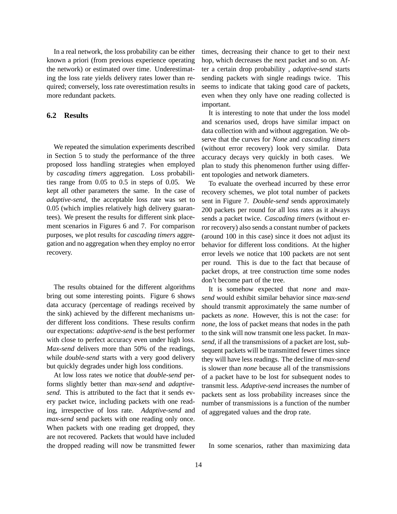In a real network, the loss probability can be either known a priori (from previous experience operating the network) or estimated over time. Underestimating the loss rate yields delivery rates lower than required; conversely, loss rate overestimation results in more redundant packets.

#### **6.2 Results**

We repeated the simulation experiments described in Section 5 to study the performance of the three proposed loss handling strategies when employed by *cascading timers* aggregation. Loss probabilities range from 0.05 to 0.5 in steps of 0.05. We kept all other parameters the same. In the case of *adaptive-send*, the acceptable loss rate was set to 0.05 (which implies relatively high delivery guarantees). We present the results for different sink placement scenarios in Figures 6 and 7. For comparison purposes, we plot results for *cascading timers* aggregation and no aggregation when they employ no error recovery.

The results obtained for the different algorithms bring out some interesting points. Figure 6 shows data accuracy (percentage of readings received by the sink) achieved by the different mechanisms under different loss conditions. These results confirm our expectations: *adaptive-send* is the best performer with close to perfect accuracy even under high loss. *Max-send* delivers more than 50% of the readings, while *double-send* starts with a very good delivery but quickly degrades under high loss conditions.

At low loss rates we notice that *double-send* performs slightly better than *max-send* and *adaptivesend*. This is attributed to the fact that it sends every packet twice, including packets with one reading, irrespective of loss rate. *Adaptive-send* and *max-send* send packets with one reading only once. When packets with one reading get dropped, they are not recovered. Packets that would have included the dropped reading will now be transmitted fewer times, decreasing their chance to get to their next hop, which decreases the next packet and so on. After a certain drop probability , *adaptive-send* starts sending packets with single readings twice. This seems to indicate that taking good care of packets, even when they only have one reading collected is important.

It is interesting to note that under the loss model and scenarios used, drops have similar impact on data collection with and without aggregation. We observe that the curves for *None* and *cascading timers* (without error recovery) look very similar. Data accuracy decays very quickly in both cases. We plan to study this phenomenon further using different topologies and network diameters.

To evaluate the overhead incurred by these error recovery schemes, we plot total number of packets sent in Figure 7. *Double-send* sends approximately 200 packets per round for all loss rates as it always sends a packet twice. *Cascading timers* (without error recovery) also sends a constant number of packets (around 100 in this case) since it does not adjust its behavior for different loss conditions. At the higher error levels we notice that 100 packets are not sent per round. This is due to the fact that because of packet drops, at tree construction time some nodes don't become part of the tree.

It is somehow expected that *none* and *maxsend* would exhibit similar behavior since *max-send* should transmit approximately the same number of packets as *none*. However, this is not the case: for *none*, the loss of packet means that nodes in the path to the sink will now transmit one less packet. In *maxsend*, if all the transmissions of a packet are lost, subsequent packets will be transmitted fewer times since they will have less readings. The decline of *max-send* is slower than *none* because all of the transmissions of a packet have to be lost for subsequent nodes to transmit less. *Adaptive-send* increases the number of packets sent as loss probability increases since the number of transmissions is a function of the number of aggregated values and the drop rate.

In some scenarios, rather than maximizing data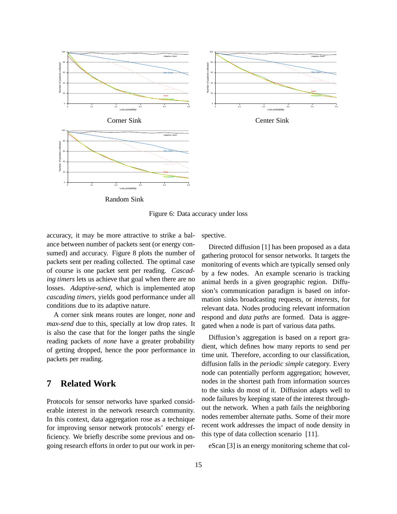

Figure 6: Data accuracy under loss

accuracy, it may be more attractive to strike a balance between number of packets sent (or energy consumed) and accuracy. Figure 8 plots the number of packets sent per reading collected. The optimal case of course is one packet sent per reading. *Cascading timers* lets us achieve that goal when there are no losses. *Adaptive-send*, which is implemented atop *cascading timers*, yields good performance under all conditions due to its adaptive nature.

A corner sink means routes are longer, *none* and *max-send* due to this, specially at low drop rates. It is also the case that for the longer paths the single reading packets of *none* have a greater probability of getting dropped, hence the poor performance in packets per reading.

### **7 Related Work**

Protocols for sensor networks have sparked considerable interest in the network research community. In this context, data aggregation rose as a technique for improving sensor network protocols' energy efficiency. We briefly describe some previous and ongoing research efforts in order to put our work in perspective.

Directed diffusion [1] has been proposed as a data gathering protocol for sensor networks. It targets the monitoring of events which are typically sensed only by a few nodes. An example scenario is tracking animal herds in a given geographic region. Diffusion's communication paradigm is based on information sinks broadcasting requests, or *interests*, for relevant data. Nodes producing relevant information respond and *data paths* are formed. Data is aggregated when a node is part of various data paths.

Diffusion's aggregation is based on a report gradient, which defines how many reports to send per time unit. Therefore, according to our classification, diffusion falls in the *periodic simple* category. Every node can potentially perform aggregation; however, nodes in the shortest path from information sources to the sinks do most of it. Diffusion adapts well to node failures by keeping state of the interest throughout the network. When a path fails the neighboring nodes remember alternate paths. Some of their more recent work addresses the impact of node density in this type of data collection scenario [11].

eScan [3] is an energy monitoring scheme that col-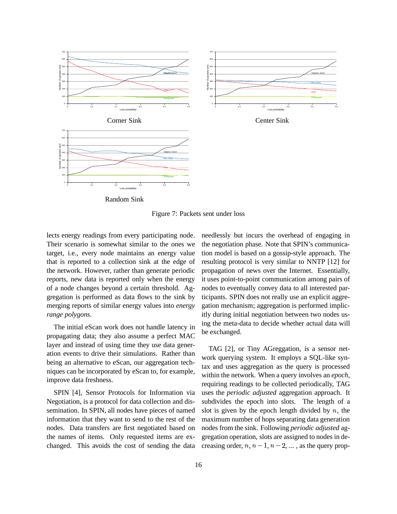

Random Sink

Figure 7: Packets sent under loss

lects energy readings from every participating node. Their scenario is somewhat similar to the ones we target, i.e., every node maintains an energy value that is reported to a collection sink at the edge of the network. However, rather than generate periodic reports, new data is reported only when the energy of a node changes beyond a certain threshold. Aggregation is performed as data flows to the sink by merging reports of similar energy values into *energy range polygons*.

The initial eScan work does not handle latency in propagating data; they also assume a perfect MAC layer and instead of using time they use data generation events to drive their simulations. Rather than being an alternative to eScan, our aggregation techniques can be incorporated by eScan to, for example, improve data freshness.

SPIN [4], Sensor Protocols for Information via Negotiation, is a protocol for data collection and dissemination. In SPIN, all nodes have pieces of named information that they want to send to the rest of the nodes. Data transfers are first negotiated based on the names of items. Only requested items are exchanged. This avoids the cost of sending the data needlessly but incurs the overhead of engaging in the negotiation phase. Note that SPIN's communication model is based on a gossip-style approach. The resulting protocol is very similar to NNTP [12] for propagation of news over the Internet. Essentially, it uses point-to-point communication among pairs of nodes to eventually convey data to all interested participants. SPIN does not really use an explicit aggregation mechanism; aggregation is performed implicitly during initial negotiation between two nodes using the meta-data to decide whether actual data will be exchanged.

TAG [2], or Tiny AGreggation, is a sensor network querying system. It employs a SQL-like syntax and uses aggregation as the query is processed within the network. When a query involves an *epoch*, requiring readings to be collected periodically, TAG uses the *periodic adjusted* aggregation approach. It subdivides the epoch into slots. The length of a slot is given by the epoch length divided by  $n$ , the maximum number of hops separating data generation nodes from the sink. Following *periodic adjusted* aggregation operation, slots are assigned to nodes in decreasing order,  $n, n-1, n-2, \dots$ , as the query prop-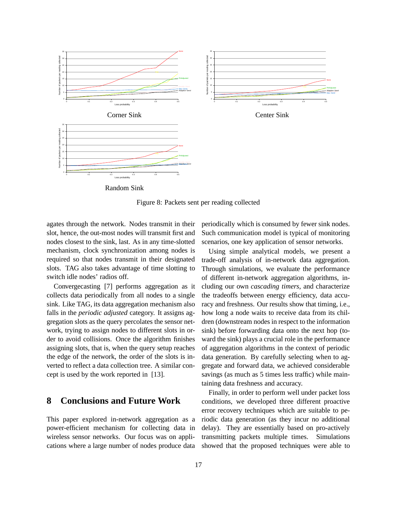

Random Sink

Figure 8: Packets sent per reading collected

agates through the network. Nodes transmit in their slot, hence, the out-most nodes will transmit first and nodes closest to the sink, last. As in any time-slotted mechanism, clock synchronization among nodes is required so that nodes transmit in their designated slots. TAG also takes advantage of time slotting to switch idle nodes' radios off.

Convergecasting [7] performs aggregation as it collects data periodically from all nodes to a single sink. Like TAG, its data aggregation mechanism also falls in the *periodic adjusted* category. It assigns aggregation slots as the query percolates the sensor network, trying to assign nodes to different slots in order to avoid collisions. Once the algorithm finishes assigning slots, that is, when the query setup reaches the edge of the network, the order of the slots is inverted to reflect a data collection tree. A similar concept is used by the work reported in [13].

### **8 Conclusions and Future Work**

This paper explored in-network aggregation as a power-efficient mechanism for collecting data in wireless sensor networks. Our focus was on applications where a large number of nodes produce data periodically which is consumed by fewer sink nodes. Such communication model is typical of monitoring scenarios, one key application of sensor networks.

Using simple analytical models, we present a trade-off analysis of in-network data aggregation. Through simulations, we evaluate the performance of different in-network aggregation algorithms, including our own *cascading timers*, and characterize the tradeoffs between energy efficiency, data accuracy and freshness. Our results show that timing, i.e., how long a node waits to receive data from its children (downstream nodes in respect to the information sink) before forwarding data onto the next hop (toward the sink) plays a crucial role in the performance of aggregation algorithms in the context of periodic data generation. By carefully selecting when to aggregate and forward data, we achieved considerable savings (as much as 5 times less traffic) while maintaining data freshness and accuracy.

Finally, in order to perform well under packet loss conditions, we developed three different proactive error recovery techniques which are suitable to periodic data generation (as they incur no additional delay). They are essentially based on pro-actively transmitting packets multiple times. Simulations showed that the proposed techniques were able to